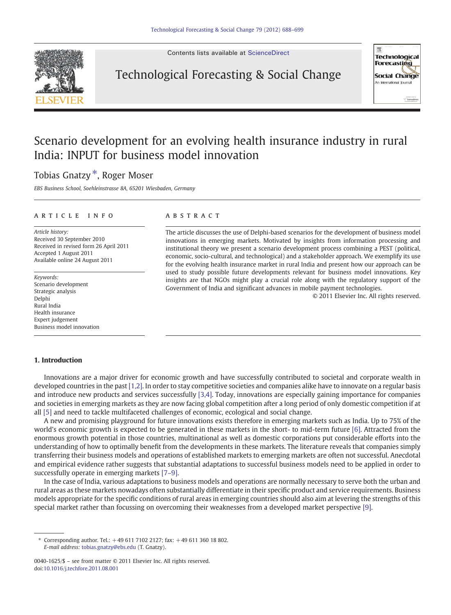Contents lists available at [ScienceDirect](http://www.sciencedirect.com/science/journal/00401625)



Technological Forecasting & Social Change



## Scenario development for an evolving health insurance industry in rural India: INPUT for business model innovation

## Tobias Gnatzy<sup>\*</sup>, Roger Moser

EBS Business School, Soehleinstrasse 8A, 65201 Wiesbaden, Germany

### article info abstract

Article history: Received 30 September 2010 Received in revised form 26 April 2011 Accepted 1 August 2011 Available online 24 August 2011

Keywords: Scenario development Strategic analysis Delphi Rural India Health insurance Expert judgement Business model innovation

The article discusses the use of Delphi-based scenarios for the development of business model innovations in emerging markets. Motivated by insights from information processing and institutional theory we present a scenario development process combining a PEST (political, economic, socio-cultural, and technological) and a stakeholder approach. We exemplify its use for the evolving health insurance market in rural India and present how our approach can be used to study possible future developments relevant for business model innovations. Key insights are that NGOs might play a crucial role along with the regulatory support of the Government of India and significant advances in mobile payment technologies.

© 2011 Elsevier Inc. All rights reserved.

### 1. Introduction

Innovations are a major driver for economic growth and have successfully contributed to societal and corporate wealth in developed countries in the past [\[1,2\].](#page--1-0) In order to stay competitive societies and companies alike have to innovate on a regular basis and introduce new products and services successfully [\[3,4\].](#page--1-0) Today, innovations are especially gaining importance for companies and societies in emerging markets as they are now facing global competition after a long period of only domestic competition if at all [\[5\]](#page--1-0) and need to tackle multifaceted challenges of economic, ecological and social change.

A new and promising playground for future innovations exists therefore in emerging markets such as India. Up to 75% of the world's economic growth is expected to be generated in these markets in the short- to mid-term future [\[6\]](#page--1-0). Attracted from the enormous growth potential in those countries, multinational as well as domestic corporations put considerable efforts into the understanding of how to optimally benefit from the developments in these markets. The literature reveals that companies simply transferring their business models and operations of established markets to emerging markets are often not successful. Anecdotal and empirical evidence rather suggests that substantial adaptations to successful business models need to be applied in order to successfully operate in emerging markets [\[7](#page--1-0)–9].

In the case of India, various adaptations to business models and operations are normally necessary to serve both the urban and rural areas as these markets nowadays often substantially differentiate in their specific product and service requirements. Business models appropriate for the specific conditions of rural areas in emerging countries should also aim at levering the strengths of this special market rather than focussing on overcoming their weaknesses from a developed market perspective [\[9\]](#page--1-0).

<sup>⁎</sup> Corresponding author. Tel.: +49 611 7102 2127; fax: +49 611 360 18 802. E-mail address: [tobias.gnatzy@ebs.edu](mailto:tobias.gnatzy@ebs.edu) (T. Gnatzy).

<sup>0040-1625/\$</sup> – see front matter © 2011 Elsevier Inc. All rights reserved. doi:[10.1016/j.techfore.2011.08.001](http://dx.doi.org/10.1016/j.techfore.2011.08.001)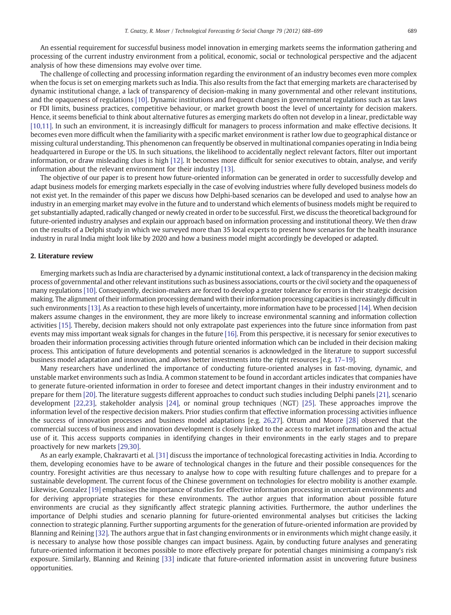An essential requirement for successful business model innovation in emerging markets seems the information gathering and processing of the current industry environment from a political, economic, social or technological perspective and the adjacent analysis of how these dimensions may evolve over time.

The challenge of collecting and processing information regarding the environment of an industry becomes even more complex when the focus is set on emerging markets such as India. This also results from the fact that emerging markets are characterised by dynamic institutional change, a lack of transparency of decision-making in many governmental and other relevant institutions, and the opaqueness of regulations [\[10\].](#page--1-0) Dynamic institutions and frequent changes in governmental regulations such as tax laws or FDI limits, business practices, competitive behaviour, or market growth boost the level of uncertainty for decision makers. Hence, it seems beneficial to think about alternative futures as emerging markets do often not develop in a linear, predictable way [\[10,11\].](#page--1-0) In such an environment, it is increasingly difficult for managers to process information and make effective decisions. It becomes even more difficult when the familiarity with a specific market environment is rather low due to geographical distance or missing cultural understanding. This phenomenon can frequently be observed in multinational companies operating in India being headquartered in Europe or the US. In such situations, the likelihood to accidentally neglect relevant factors, filter out important information, or draw misleading clues is high [\[12\].](#page--1-0) It becomes more difficult for senior executives to obtain, analyse, and verify information about the relevant environment for their industry [\[13\].](#page--1-0)

The objective of our paper is to present how future-oriented information can be generated in order to successfully develop and adapt business models for emerging markets especially in the case of evolving industries where fully developed business models do not exist yet. In the remainder of this paper we discuss how Delphi-based scenarios can be developed and used to analyse how an industry in an emerging market may evolve in the future and to understand which elements of business models might be required to get substantially adapted, radically changed or newly created in order to be successful. First, we discuss the theoretical background for future-oriented industry analyses and explain our approach based on information processing and institutional theory. We then draw on the results of a Delphi study in which we surveyed more than 35 local experts to present how scenarios for the health insurance industry in rural India might look like by 2020 and how a business model might accordingly be developed or adapted.

### 2. Literature review

Emerging markets such as India are characterised by a dynamic institutional context, a lack of transparency in the decision making process of governmental and other relevant institutions such as business associations, courts or the civil society and the opaqueness of many regulations [\[10\]](#page--1-0). Consequently, decision-makers are forced to develop a greater tolerance for errors in their strategic decision making. The alignment of their information processing demand with their information processing capacities is increasingly difficult in such environments [\[13\].](#page--1-0) As a reaction to these high levels of uncertainty, more information have to be processed [\[14\].](#page--1-0) When decision makers assume changes in the environment, they are more likely to increase environmental scanning and information collection activities [\[15\]](#page--1-0). Thereby, decision makers should not only extrapolate past experiences into the future since information from past events may miss important weak signals for changes in the future [\[16\].](#page--1-0) From this perspective, it is necessary for senior executives to broaden their information processing activities through future oriented information which can be included in their decision making process. This anticipation of future developments and potential scenarios is acknowledged in the literature to support successful business model adaptation and innovation, and allows better investments into the right resources [e.g. 17–[19\]](#page--1-0).

Many researchers have underlined the importance of conducting future-oriented analyses in fast-moving, dynamic, and unstable market environments such as India. A common statement to be found in accordant articles indicates that companies have to generate future-oriented information in order to foresee and detect important changes in their industry environment and to prepare for them [\[20\]](#page--1-0). The literature suggests different approaches to conduct such studies including Delphi panels [\[21\]](#page--1-0), scenario development [\[22,23\],](#page--1-0) stakeholder analysis [\[24\],](#page--1-0) or nominal group techniques (NGT) [\[25\].](#page--1-0) These approaches improve the information level of the respective decision makers. Prior studies confirm that effective information processing activities influence the success of innovation processes and business model adaptations [e.g. [26,27\]](#page--1-0). Ottum and Moore [\[28\]](#page--1-0) observed that the commercial success of business and innovation development is closely linked to the access to market information and the actual use of it. This access supports companies in identifying changes in their environments in the early stages and to prepare proactively for new markets [\[29,30\]](#page--1-0).

As an early example, Chakravarti et al. [\[31\]](#page--1-0) discuss the importance of technological forecasting activities in India. According to them, developing economies have to be aware of technological changes in the future and their possible consequences for the country. Foresight activities are thus necessary to analyse how to cope with resulting future challenges and to prepare for a sustainable development. The current focus of the Chinese government on technologies for electro mobility is another example. Likewise, Gonzalez [\[19\]](#page--1-0) emphasises the importance of studies for effective information processing in uncertain environments and for deriving appropriate strategies for these environments. The author argues that information about possible future environments are crucial as they significantly affect strategic planning activities. Furthermore, the author underlines the importance of Delphi studies and scenario planning for future-oriented environmental analyses but criticises the lacking connection to strategic planning. Further supporting arguments for the generation of future-oriented information are provided by Blanning and Reining [\[32\]](#page--1-0). The authors argue that in fast changing environments or in environments which might change easily, it is necessary to analyse how those possible changes can impact business. Again, by conducting future analyses and generating future-oriented information it becomes possible to more effectively prepare for potential changes minimising a company's risk exposure. Similarly, Blanning and Reining [\[33\]](#page--1-0) indicate that future-oriented information assist in uncovering future business opportunities.